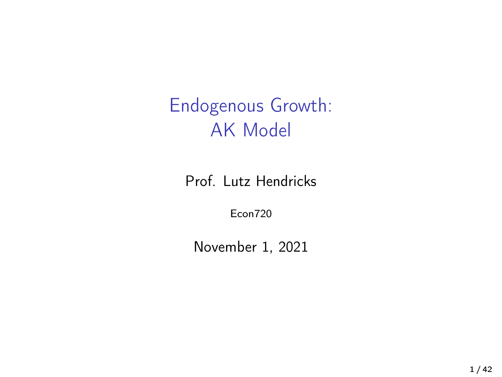Endogenous Growth: AK Model

Prof. Lutz Hendricks

Econ720

November 1, 2021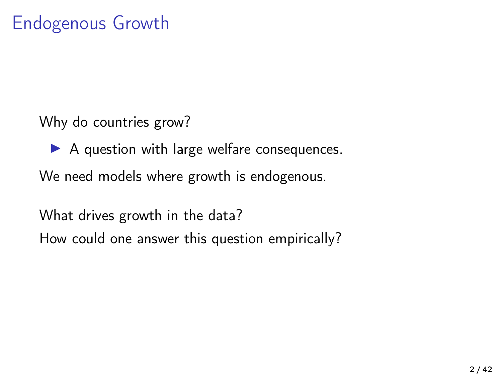Why do countries grow?

 $\triangleright$  A question with large welfare consequences.

We need models where growth is endogenous.

What drives growth in the data? How could one answer this question empirically?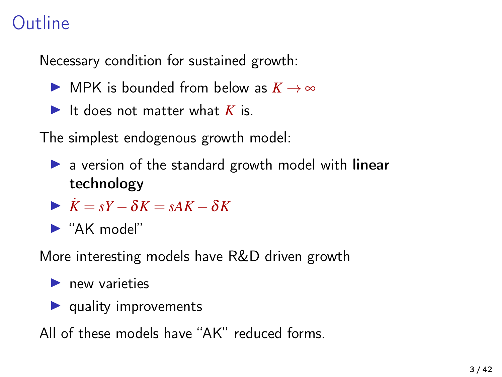### Outline

Necessary condition for sustained growth:

- **I** MPK is bounded from below as  $K \to \infty$
- It does not matter what  $K$  is.

The simplest endogenous growth model:

- $\triangleright$  a version of the standard growth model with linear technology
- $\mathbf{X} = sY \delta K = sAK \delta K$
- $\blacktriangleright$  "AK model"

More interesting models have R&D driven growth

- $\blacktriangleright$  new varieties
- $\blacktriangleright$  quality improvements

All of these models have "AK" reduced forms.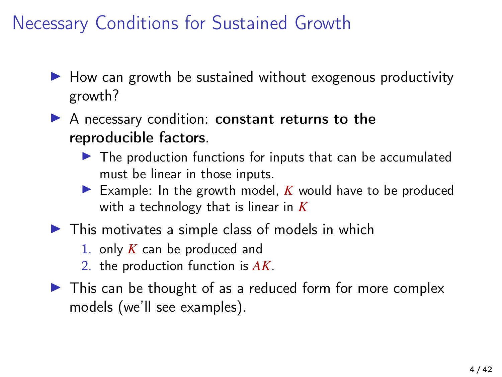Necessary Conditions for Sustained Growth

- $\blacktriangleright$  How can growth be sustained without exogenous productivity growth?
- $\blacktriangleright$  A necessary condition: constant returns to the reproducible factors.
	- $\blacktriangleright$  The production functions for inputs that can be accumulated must be linear in those inputs.
	- Example: In the growth model,  $K$  would have to be produced with a technology that is linear in *K*
- $\blacktriangleright$  This motivates a simple class of models in which
	- 1. only *K* can be produced and
	- 2. the production function is *AK*.
- $\triangleright$  This can be thought of as a reduced form for more complex models (we'll see examples).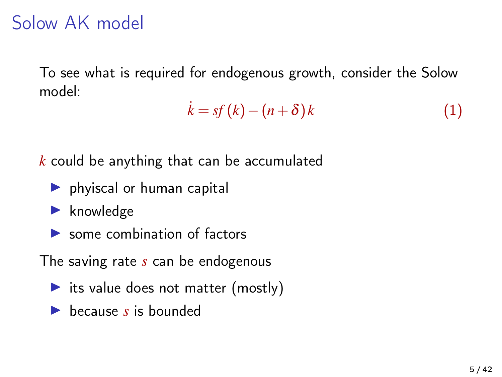### Solow AK model

To see what is required for endogenous growth, consider the Solow model:

$$
\dot{k} = sf(k) - (n+\delta)k \tag{1}
$$

*k* could be anything that can be accumulated

- $\blacktriangleright$  phyiscal or human capital
- $\blacktriangleright$  knowledge
- $\triangleright$  some combination of factors

The saving rate *s* can be endogenous

- its value does not matter (mostly)
- **In because** *s* is bounded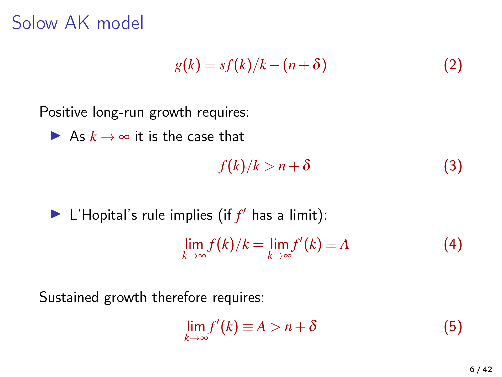Solow AK model

$$
g(k) = sf(k)/k - (n + \delta)
$$
 (2)

Positive long-run growth requires:

$$
\blacktriangleright \text{ As } k \to \infty \text{ it is the case that}
$$

$$
f(k)/k > n + \delta \tag{3}
$$

#### $\blacktriangleright$  L'Hopital's rule implies (if  $f'$  has a limit):

$$
\lim_{k \to \infty} f(k)/k = \lim_{k \to \infty} f'(k) \equiv A \tag{4}
$$

Sustained growth therefore requires:

$$
\lim_{k \to \infty} f'(k) \equiv A > n + \delta \tag{5}
$$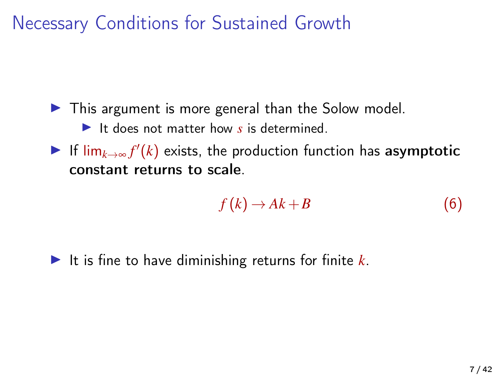Necessary Conditions for Sustained Growth

 $\blacktriangleright$  This argument is more general than the Solow model.

It does not matter how  $s$  is determined.

**►** If  $\lim_{k\to\infty} f'(k)$  exists, the production function has asymptotic constant returns to scale.

$$
f(k) \to Ak + B \tag{6}
$$

It is fine to have diminishing returns for finite  $k$ .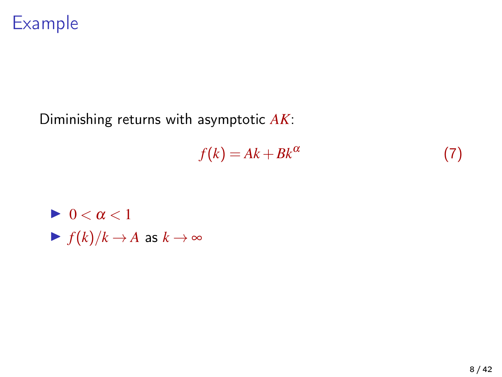

#### Diminishing returns with asymptotic *AK*:

$$
f(k) = Ak + Bk^{\alpha} \tag{7}
$$

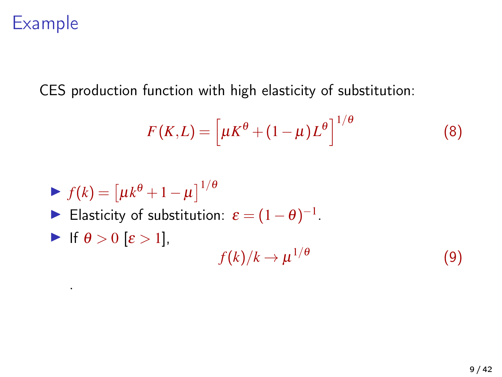#### Example

CES production function with high elasticity of substitution:

$$
F(K,L) = \left[\mu K^{\theta} + (1 - \mu)L^{\theta}\right]^{1/\theta}
$$
 (8)

$$
\blacktriangleright f(k) = \left[ \mu k^{\theta} + 1 - \mu \right]^{1/\theta}
$$

- ► Elasticity of substitution:  $\varepsilon = (1 \theta)^{-1}$ .
- If  $\theta > 0$   $\epsilon > 1$ ,

.

$$
f(k)/k \to \mu^{1/\theta} \tag{9}
$$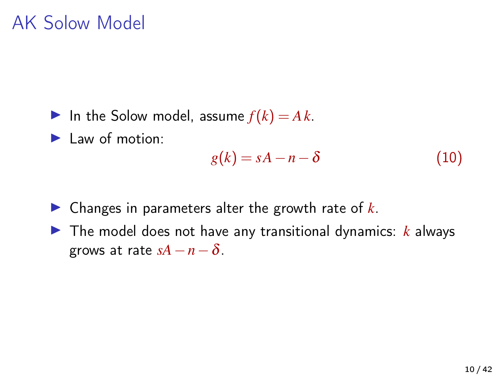In the Solow model, assume  $f(k) = Ak$ .

 $\blacktriangleright$  Law of motion:

$$
g(k) = sA - n - \delta \tag{10}
$$

- $\triangleright$  Changes in parameters alter the growth rate of  $k$ .
- $\triangleright$  The model does not have any transitional dynamics:  $k$  always grows at rate  $sA-n-\delta$ .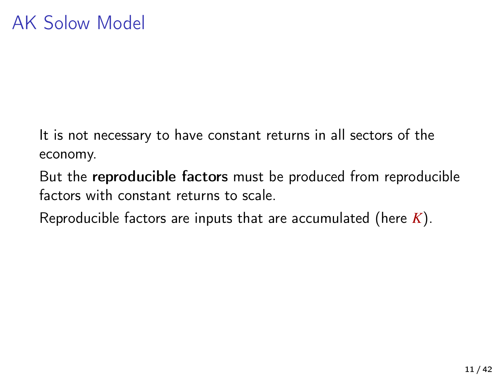It is not necessary to have constant returns in all sectors of the economy.

But the reproducible factors must be produced from reproducible factors with constant returns to scale.

Reproducible factors are inputs that are accumulated (here *K*).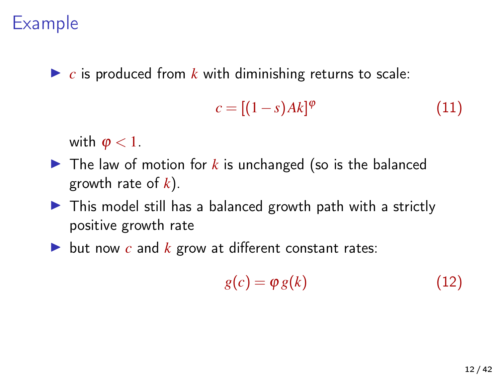#### Example

 $\triangleright$  *c* is produced from *k* with diminishing returns to scale:

$$
c = [(1-s)Ak]^{\varphi} \tag{11}
$$

with  $\varphi$  < 1.

- $\blacktriangleright$  The law of motion for k is unchanged (so is the balanced growth rate of *k*).
- $\triangleright$  This model still has a balanced growth path with a strictly positive growth rate
- $\triangleright$  but now *c* and *k* grow at different constant rates:

$$
g(c) = \varphi \, g(k) \tag{12}
$$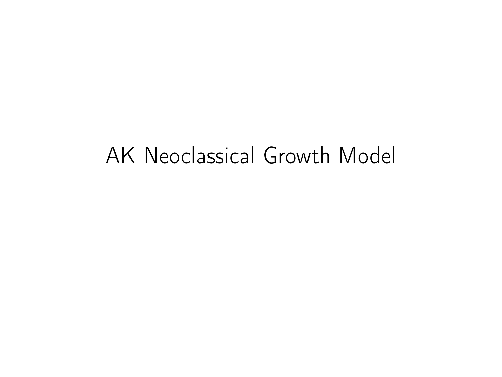## AK Neoclassical Growth Model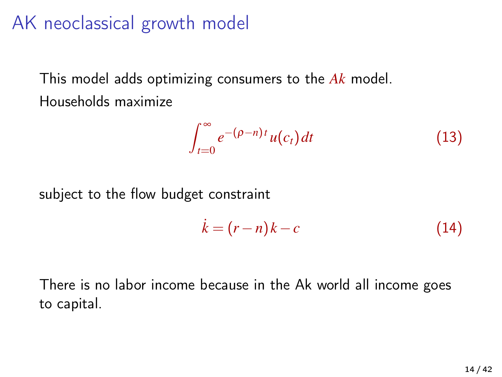#### AK neoclassical growth model

This model adds optimizing consumers to the *Ak* model. Households maximize

¢

$$
\int_{t=0}^{\infty} e^{-(\rho - n)t} u(c_t) dt
$$
 (13)

subject to the flow budget constraint

$$
\dot{k} = (r - n)k - c \tag{14}
$$

There is no labor income because in the Ak world all income goes to capital.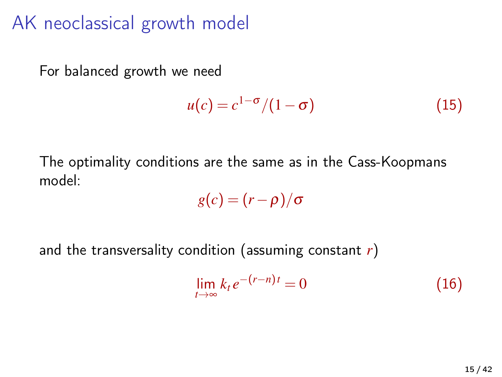#### AK neoclassical growth model

For balanced growth we need

$$
u(c) = c^{1-\sigma}/(1-\sigma) \tag{15}
$$

The optimality conditions are the same as in the Cass-Koopmans model:

$$
g(c)=(r-\rho)/\sigma
$$

and the transversality condition (assuming constant *r*)

$$
\lim_{t \to \infty} k_t e^{-(r-n)t} = 0 \tag{16}
$$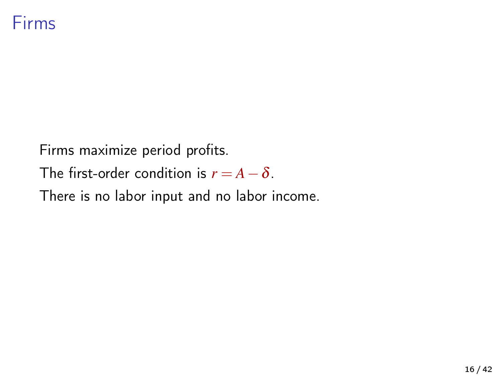Firms maximize period profits. The first-order condition is  $r = A - \delta$ . There is no labor input and no labor income.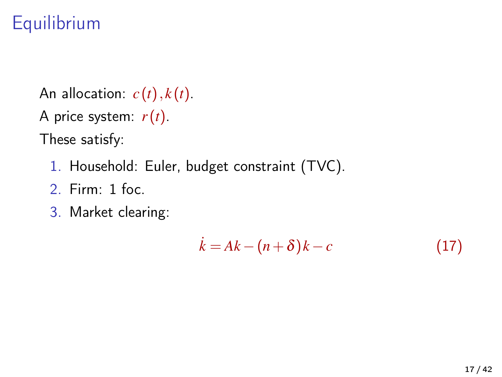## **Equilibrium**

An allocation:  $c(t)$ ,  $k(t)$ .

A price system: *r*(*t*).

These satisfy:

- 1. Household: Euler, budget constraint (TVC).
- 2. Firm: 1 foc.
- 3. Market clearing:

$$
\dot{k} = Ak - (n + \delta)k - c \tag{17}
$$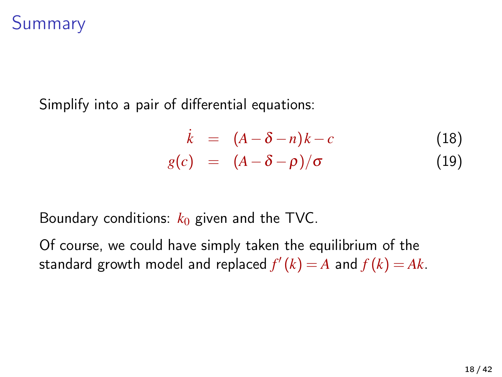#### Summary

Simplify into a pair of differential equations:

$$
\dot{k} = (A - \delta - n)k - c \qquad (18)
$$
\n
$$
g(c) = (A - \delta - \rho)/\sigma \qquad (19)
$$

Boundary conditions: *k*<sup>0</sup> given and the TVC.

Of course, we could have simply taken the equilibrium of the standard growth model and replaced  $f'(k) = A$  and  $f(k) = Ak$ .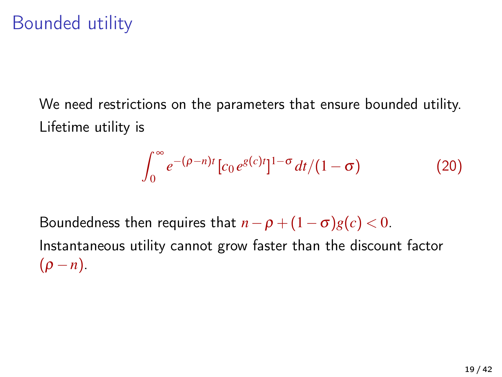### Bounded utility

We need restrictions on the parameters that ensure bounded utility. Lifetime utility is

$$
\int_0^\infty e^{-(\rho - n)t} \left[ c_0 e^{g(c)t} \right]^{1-\sigma} dt / (1-\sigma) \tag{20}
$$

Boundedness then requires that  $n - \rho + (1 - \sigma)g(c) < 0$ . Instantaneous utility cannot grow faster than the discount factor  $(\rho - n)$ .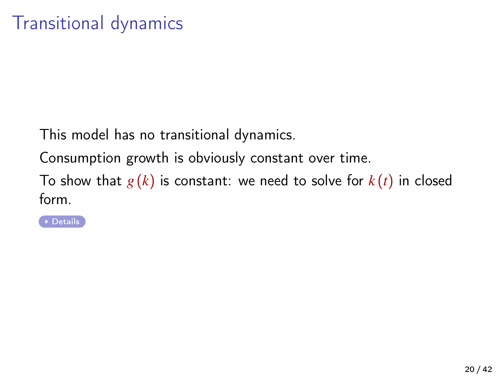This model has no transitional dynamics.

Consumption growth is obviously constant over time.

To show that  $g(k)$  is constant: we need to solve for  $k(t)$  in closed form.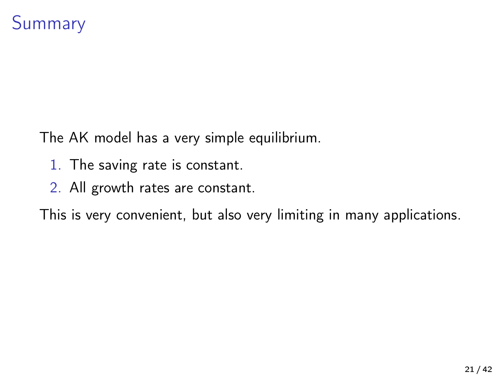The AK model has a very simple equilibrium.

- 1. The saving rate is constant.
- 2. All growth rates are constant.

This is very convenient, but also very limiting in many applications.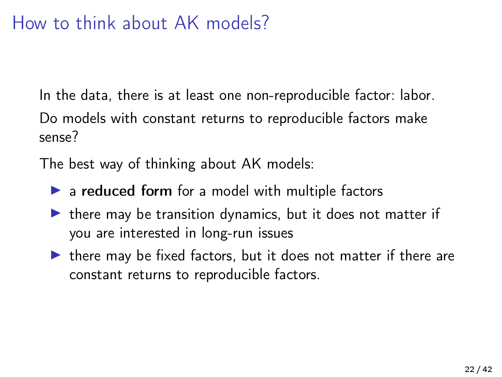#### How to think about AK models?

In the data, there is at least one non-reproducible factor: labor. Do models with constant returns to reproducible factors make sense?

The best way of thinking about AK models:

- $\triangleright$  a reduced form for a model with multiple factors
- $\triangleright$  there may be transition dynamics, but it does not matter if you are interested in long-run issues
- $\blacktriangleright$  there may be fixed factors, but it does not matter if there are constant returns to reproducible factors.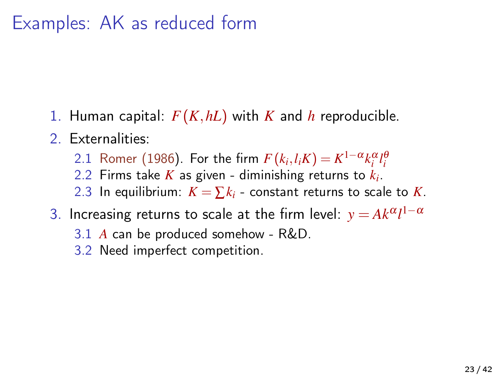#### Examples: AK as reduced form

- 1. Human capital: *F*(*K*,*hL*) with *K* and *h* reproducible.
- 2. Externalities:
	- 2.1 [Romer \(1986\)](#page-41-0). For the firm  $F(k_i, l_i K) = K^{1-\alpha} k_i^{\alpha} l_i^{\beta}$
	- 2.2 Firms take *K* as given diminishing returns to *k<sup>i</sup>* .
	- 2.3 In equilibrium:  $K = \sum k_i$  constant returns to scale to K.
- 3. Increasing returns to scale at the firm level:  $y = Ak^{\alpha}l^{1-\alpha}$ 
	- 3.1 *A* can be produced somehow R&D.
	- 3.2 Need imperfect competition.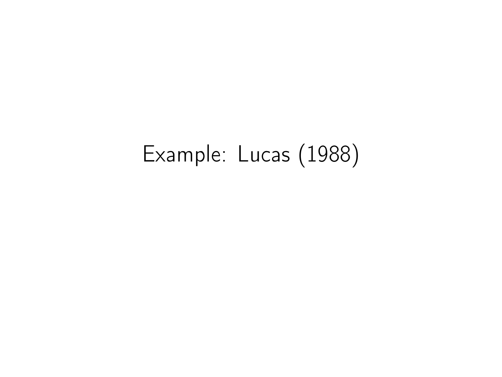# Example: Lucas (1988)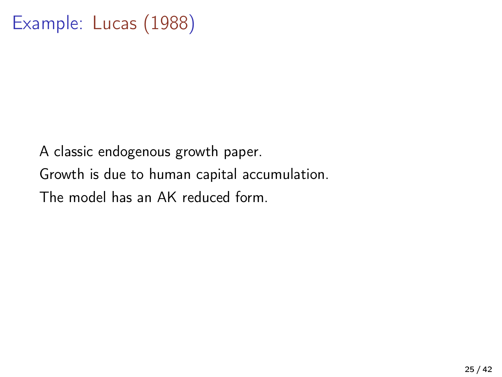A classic endogenous growth paper. Growth is due to human capital accumulation. The model has an AK reduced form.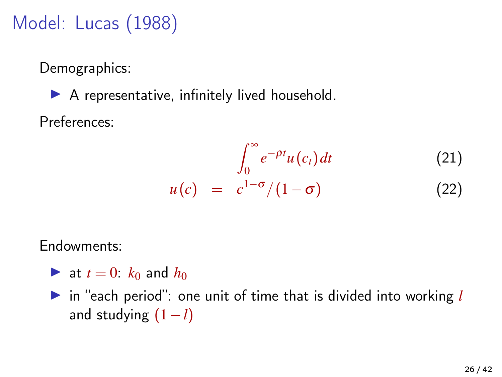## Model: Lucas (1988)

Demographics:

 $\blacktriangleright$  A representative, infinitely lived household. Preferences:

$$
u(c) = \int_0^\infty e^{-\rho t} u(c_t) dt
$$
 (21)  

$$
u(c) = c^{1-\sigma}/(1-\sigma)
$$
 (22)

Endowments:

- **If** at  $t = 0$ :  $k_0$  and  $h_0$
- in "each period": one unit of time that is divided into working *l* and studying (1−*l*)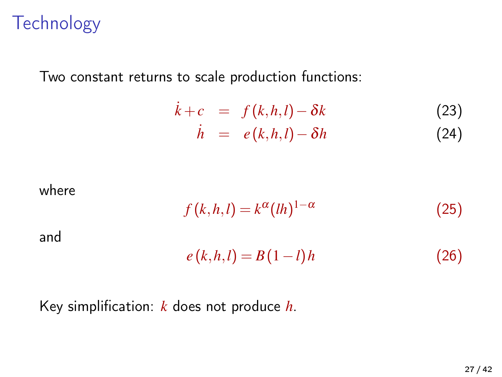#### **Technology**

Two constant returns to scale production functions:

$$
\dot{k}+c = f(k,h,l) - \delta k \tag{23}
$$
\n
$$
\dot{h} = e(k,h,l) - \delta h \tag{24}
$$

where

$$
f(k,h,l) = k^{\alpha} (lh)^{1-\alpha} \tag{25}
$$

and

$$
e(k, h, l) = B(1 - l)h \tag{26}
$$

Key simplification: *k* does not produce *h*.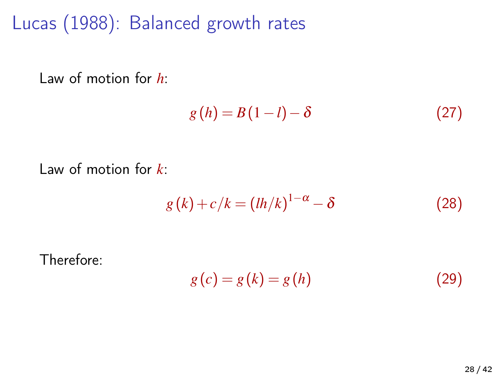Lucas (1988): Balanced growth rates

Law of motion for *h*:

$$
g(h) = B(1 - l) - \delta \tag{27}
$$

Law of motion for *k*:

$$
g(k) + c/k = (lh/k)^{1-\alpha} - \delta \tag{28}
$$

$$
\\Therefore:
$$

$$
g(c) = g(k) = g(h) \tag{29}
$$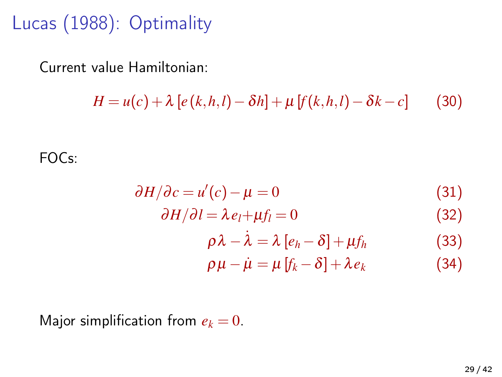Lucas (1988): Optimality

Current value Hamiltonian:

$$
H = u(c) + \lambda [e(k, h, l) - \delta h] + \mu [f(k, h, l) - \delta k - c]
$$
 (30)

FOCs:

$$
\partial H/\partial c = u'(c) - \mu = 0 \tag{31}
$$

$$
\partial H/\partial l = \lambda e_l + \mu f_l = 0 \tag{32}
$$

$$
\rho \lambda - \lambda = \lambda [e_h - \delta] + \mu f_h \tag{33}
$$

$$
\rho \mu - \mu = \mu [f_k - \delta] + \lambda e_k \tag{34}
$$

Major simplification from  $e_k = 0$ .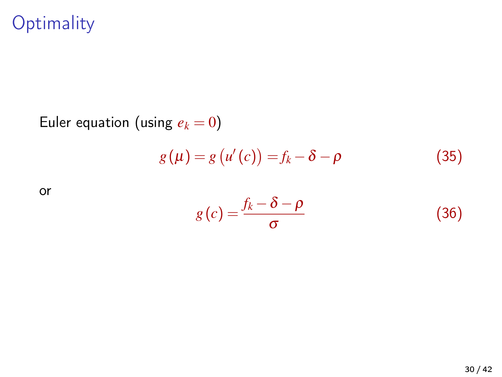### **Optimality**

Euler equation (using  $e_k = 0$ )  $g(\mu) = g(u'(c)) = f_k - \delta - \rho$  (35)

or

$$
g(c) = \frac{f_k - \delta - \rho}{\sigma} \tag{36}
$$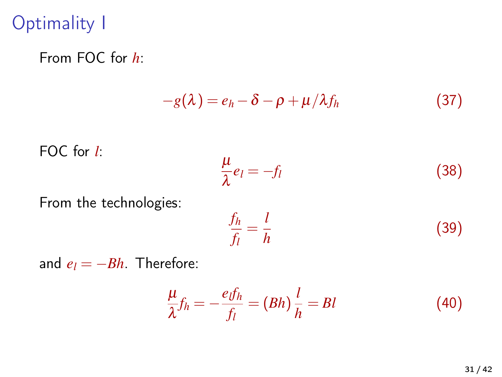## Optimality I

From FOC for *h*:

$$
-g(\lambda) = e_h - \delta - \rho + \mu/\lambda f_h \tag{37}
$$

FOC for 
$$
l
$$
:

$$
\frac{\mu}{\lambda}e_l = -f_l \tag{38}
$$

From the technologies:

$$
\frac{f_h}{f_l} = \frac{l}{h} \tag{39}
$$

and  $e_l = -Bh$ . Therefore:

$$
\frac{\mu}{\lambda}f_h = -\frac{ef_h}{f_l} = (Bh)\frac{l}{h} = Bl \tag{40}
$$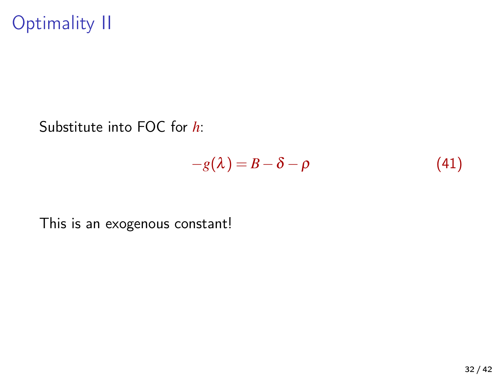Optimality II

Substitute into FOC for *h*:

$$
-g(\lambda) = B - \delta - \rho \tag{41}
$$

This is an exogenous constant!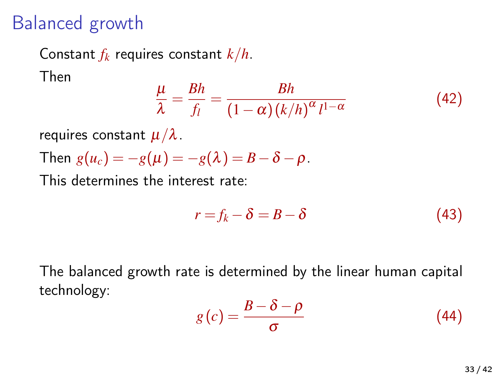#### Balanced growth

Constant *f<sup>k</sup>* requires constant *k*/*h*. Then

$$
\frac{\mu}{\lambda} = \frac{Bh}{f_l} = \frac{Bh}{(1-\alpha)(k/h)^{\alpha}l^{1-\alpha}}
$$
(42)

requires constant  $\mu/\lambda$ .

Then  $g(u_c) = -g(\mu) = -g(\lambda) = B - \delta - \rho$ .

This determines the interest rate:

$$
r = f_k - \delta = B - \delta \tag{43}
$$

The balanced growth rate is determined by the linear human capital technology:

$$
g(c) = \frac{B - \delta - \rho}{\sigma} \tag{44}
$$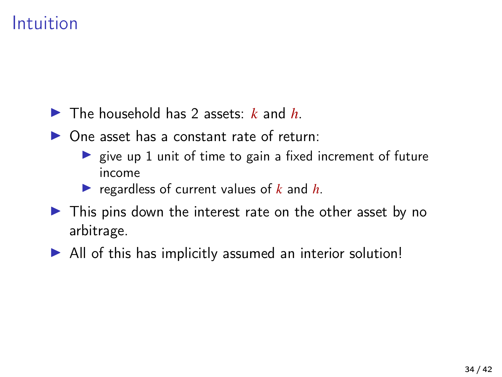#### Intuition

- $\blacktriangleright$  The household has 2 assets: *k* and *h*.
- $\triangleright$  One asset has a constant rate of return:
	- $\triangleright$  give up 1 unit of time to gain a fixed increment of future income
	- regardless of current values of  $k$  and  $h$ .
- $\triangleright$  This pins down the interest rate on the other asset by no arbitrage.
- $\blacktriangleright$  All of this has implicitly assumed an interior solution!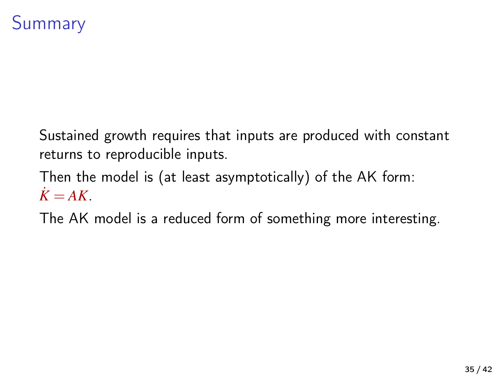### Summary

Sustained growth requires that inputs are produced with constant returns to reproducible inputs.

Then the model is (at least asymptotically) of the AK form:  $K = AK$ .

The AK model is a reduced form of something more interesting.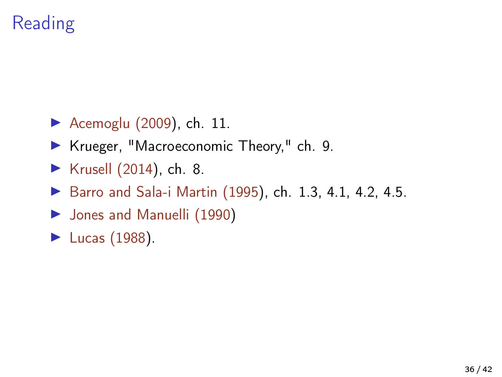## Reading

- [Acemoglu \(2009\)](#page-41-2), ch.  $11$ .
- ▶ Krueger, "Macroeconomic Theory," ch. 9.
- $\blacktriangleright$  [Krusell \(2014\)](#page-41-3), ch. 8.
- $\triangleright$  [Barro and Sala-i Martin \(1995\)](#page-41-4), ch. 1.3, 4.1, 4.2, 4.5.
- $\blacktriangleright$  [Jones and Manuelli \(1990\)](#page-41-5)
- $\blacktriangleright$  [Lucas \(1988\)](#page-41-1).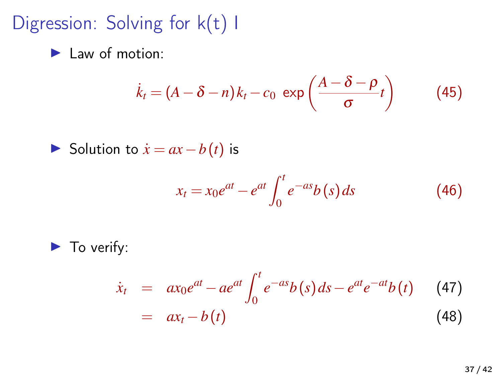Digression: Solving for k(t) I

<span id="page-36-0"></span> $\blacktriangleright$  Law of motion:

$$
\dot{k}_t = (A - \delta - n)k_t - c_0 \exp\left(\frac{A - \delta - \rho}{\sigma}t\right) \tag{45}
$$

**►** Solution to  $\dot{x} = ax - b(t)$  is

$$
x_t = x_0 e^{at} - e^{at} \int_0^t e^{-as} b(s) \, ds \tag{46}
$$

 $\blacktriangleright$  To verify:

$$
\dot{x}_t = ax_0e^{at} - ae^{at} \int_0^t e^{-as} b(s) ds - e^{at}e^{-at} b(t) \tag{47}
$$
\n
$$
= ax_t - b(t) \tag{48}
$$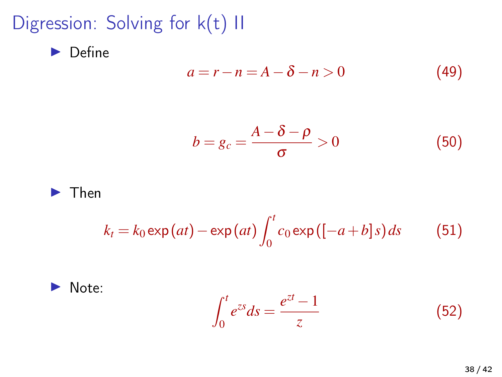Digression: Solving for k(t) II

 $\blacktriangleright$  Define

$$
a = r - n = A - \delta - n > 0 \tag{49}
$$

$$
b = g_c = \frac{A - \delta - \rho}{\sigma} > 0 \tag{50}
$$



$$
k_t = k_0 \exp(at) - \exp(at) \int_0^t c_0 \exp((-a+b]s) ds \qquad (51)
$$



$$
\int_0^t e^{zs} ds = \frac{e^{zt} - 1}{z} \tag{52}
$$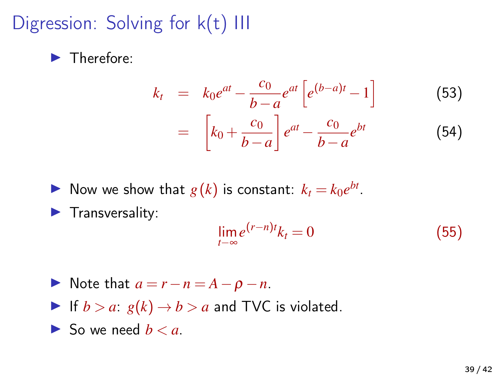Digression: Solving for k(t) III

 $\blacktriangleright$  Therefore:

$$
k_{t} = k_{0}e^{at} - \frac{c_{0}}{b-a}e^{at}\left[e^{(b-a)t} - 1\right]
$$
(53)  

$$
= \left[k_{0} + \frac{c_{0}}{b-a}\right]e^{at} - \frac{c_{0}}{b-a}e^{bt}
$$
(54)

 $\blacktriangleright$  Now we show that  $g(k)$  is constant:  $k_t = k_0 e^{bt}$ .

 $\blacktriangleright$  Transversality:

$$
\lim_{t \to \infty} e^{(r-n)t} k_t = 0 \tag{55}
$$

- $\triangleright$  Note that  $a = r n = A \rho n$ .
- If  $b > a$ :  $g(k) \rightarrow b > a$  and TVC is violated.
- $\blacktriangleright$  So we need  $b < a$ .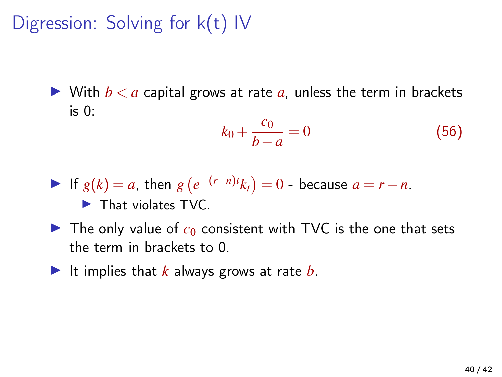Digression: Solving for k(t) IV

 $\triangleright$  With  $b < a$  capital grows at rate a, unless the term in brackets is 0:

$$
k_0 + \frac{c_0}{b - a} = 0 \tag{56}
$$

$$
\blacktriangleright \text{ If } g(k) = a, \text{ then } g(e^{-(r-n)t}k_t) = 0 \text{ - because } a = r - n.
$$

 $\blacktriangleright$  That violates TVC.

- $\blacktriangleright$  The only value of  $c_0$  consistent with TVC is the one that sets the term in brackets to 0.
- It implies that  $k$  always grows at rate  $b$ .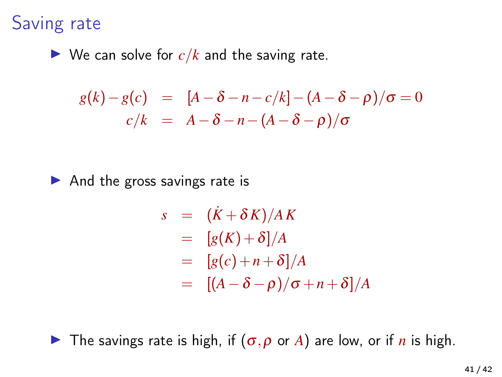#### Saving rate

 $\triangleright$  We can solve for  $c/k$  and the saving rate.

$$
g(k) - g(c) = [A - \delta - n - c/k] - (A - \delta - \rho)/\sigma = 0
$$
  

$$
c/k = A - \delta - n - (A - \delta - \rho)/\sigma
$$

 $\blacktriangleright$  And the gross savings rate is

$$
s = (\dot{K} + \delta K)/AK
$$
  
=  $[g(K) + \delta]/A$   
=  $[g(c) + n + \delta]/A$   
=  $[(A - \delta - \rho)/\sigma + n + \delta]/A$ 

**I** The savings rate is high, if  $(\sigma, \rho \text{ or } A)$  are low, or if *n* is high.